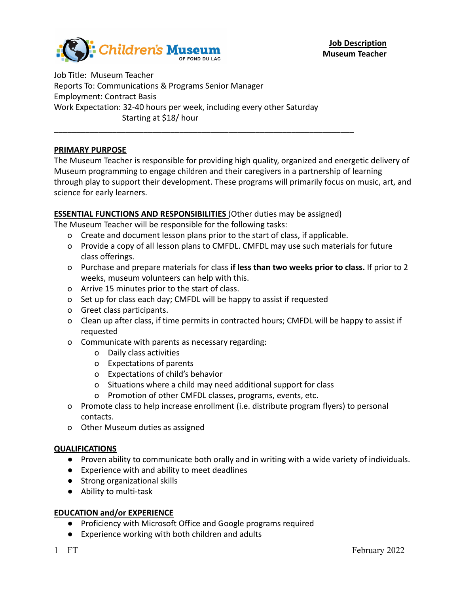

Job Title: Museum Teacher Reports To: Communications & Programs Senior Manager Employment: Contract Basis Work Expectation: 32-40 hours per week, including every other Saturday Starting at \$18/ hour \_\_\_\_\_\_\_\_\_\_\_\_\_\_\_\_\_\_\_\_\_\_\_\_\_\_\_\_\_\_\_\_\_\_\_\_\_\_\_\_\_\_\_\_\_\_\_\_\_\_\_\_\_\_\_\_\_\_\_\_\_\_\_\_\_\_\_

# **PRIMARY PURPOSE**

The Museum Teacher is responsible for providing high quality, organized and energetic delivery of Museum programming to engage children and their caregivers in a partnership of learning through play to support their development. These programs will primarily focus on music, art, and science for early learners.

## **ESSENTIAL FUNCTIONS AND RESPONSIBILITIES** (Other duties may be assigned)

The Museum Teacher will be responsible for the following tasks:

- o Create and document lesson plans prior to the start of class, if applicable.
- o Provide a copy of all lesson plans to CMFDL. CMFDL may use such materials for future class offerings.
- o Purchase and prepare materials for class **if less than two weeks prior to class.** If prior to 2 weeks, museum volunteers can help with this.
- o Arrive 15 minutes prior to the start of class.
- o Set up for class each day; CMFDL will be happy to assist if requested
- o Greet class participants.
- o Clean up after class, if time permits in contracted hours; CMFDL will be happy to assist if requested
- o Communicate with parents as necessary regarding:
	- o Daily class activities
	- o Expectations of parents
	- o Expectations of child's behavior
	- o Situations where a child may need additional support for class
	- o Promotion of other CMFDL classes, programs, events, etc.
- o Promote class to help increase enrollment (i.e. distribute program flyers) to personal contacts.
- o Other Museum duties as assigned

### **QUALIFICATIONS**

- Proven ability to communicate both orally and in writing with a wide variety of individuals.
- Experience with and ability to meet deadlines
- Strong organizational skills
- Ability to multi-task

### **EDUCATION and/or EXPERIENCE**

- Proficiency with Microsoft Office and Google programs required
- Experience working with both children and adults